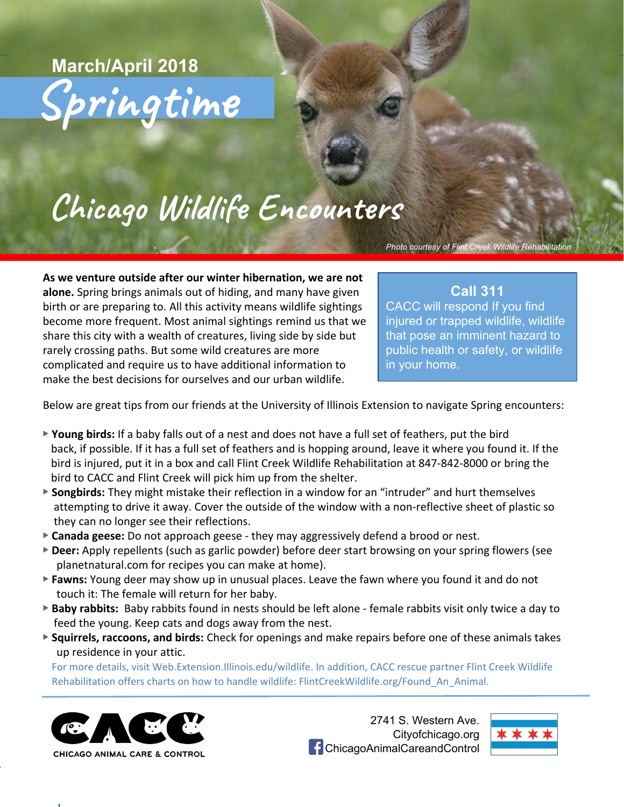Springtime **March/April 2018**

# Chicago Wildlife Encounters

*Photo courtesy of Flint Creek Wildlife Rehabilitation*

**As we venture outside after our winter hibernation, we are not alone.** Spring brings animals out of hiding, and many have given birth or are preparing to. All this activity means wildlife sightings become more frequent. Most animal sightings remind us that we share this city with a wealth of creatures, living side by side but rarely crossing paths. But some wild creatures are more complicated and require us to have additional information to make the best decisions for ourselves and our urban wildlife.

### **Call 311**

CACC will respond If you find injured or trapped wildlife, wildlife that pose an imminent hazard to public health or safety, or wildlife in your home.

Below are great tips from our friends at the University of Illinois Extension to navigate Spring encounters:

- ▶ **Young birds:** If a baby falls out of a nest and does not have a full set of feathers, put the bird back, if possible. If it has a full set of feathers and is hopping around, leave it where you found it. If the bird is injured, put it in a box and call Flint Creek Wildlife Rehabilitation at 847-842-8000 or bring the bird to CACC and Flint Creek will pick him up from the shelter.
- ▶ **Songbirds:** They might mistake their reflection in a window for an "intruder" and hurt themselves attempting to drive it away. Cover the outside of the window with a non-reflective sheet of plastic so they can no longer see their reflections.
- ▶ **Canada geese:** Do not approach geese they may aggressively defend a brood or nest.
- ▶ **Deer:** Apply repellents (such as garlic powder) before deer start browsing on your spring flowers (see planetnatural.com for recipes you can make at home).
- ▶ **Fawns:** Young deer may show up in unusual places. Leave the fawn where you found it and do not touch it: The female will return for her baby.
- ▶ **Baby rabbits:** Baby rabbits found in nests should be left alone female rabbits visit only twice a day to feed the young. Keep cats and dogs away from the nest.
- ▶ **Squirrels, raccoons, and birds:** Check for openings and make repairs before one of these animals takes up residence in your attic.

For more details, visit Web.Extension.Illinois.edu/wildlife. In addition, CACC rescue partner Flint Creek Wildlife Rehabilitation offers charts on how to handle wildlife: FlintCreekWildlife.org/Found\_An\_Animal.



2741 S. Western Ave. Cityofchicago.org **f** ChicagoAnimalCareandControl

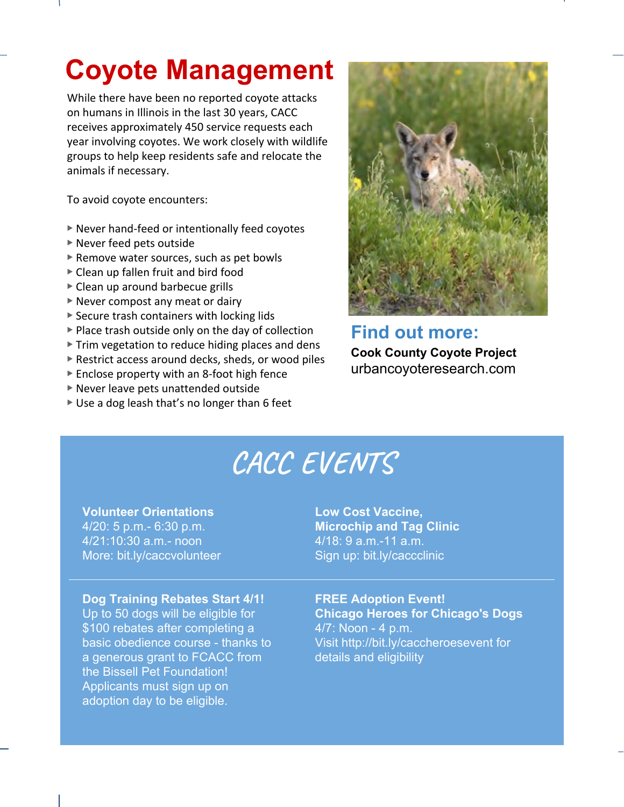## **Coyote Management**

While there have been no reported coyote attacks on humans in Illinois in the last 30 years, CACC receives approximately 450 service requests each year involving coyotes. We work closely with wildlife groups to help keep residents safe and relocate the animals if necessary.

To avoid coyote encounters:

- ▶ Never hand-feed or intentionally feed coyotes
- ▶ Never feed pets outside
- ▶ Remove water sources, such as pet bowls
- ▶ Clean up fallen fruit and bird food
- ▶ Clean up around barbecue grills
- ▶ Never compost any meat or dairy
- $\triangleright$  Secure trash containers with locking lids
- ▶ Place trash outside only on the day of collection
- ▶ Trim vegetation to reduce hiding places and dens
- ▶ Restrict access around decks, sheds, or wood piles
- ▶ Enclose property with an 8-foot high fence
- ▶ Never leave pets unattended outside
- ▶ Use a dog leash that's no longer than 6 feet



**Find out more: Cook County Coyote Project** urbancoyoteresearch.com

# **CACC EVENTS**

#### **Volunteer Orientations**

4/20: 5 p.m.- 6:30 p.m. 4/21:10:30 a.m.- noon More: bit.ly/caccvolunteer

#### **Low Cost Vaccine, Microchip and Tag Clinic** 4/18: 9 a.m.-11 a.m. Sign up: bit.ly/caccclinic

#### **Dog Training Rebates Start 4/1!**

Up to 50 dogs will be eligible for \$100 rebates after completing a basic obedience course - thanks to a generous grant to FCACC from the Bissell Pet Foundation! Applicants must sign up on adoption day to be eligible.

**FREE Adoption Event! Chicago Heroes for Chicago's Dogs**  4/7: Noon - 4 p.m. Visit http://bit.ly/caccheroesevent for details and eligibility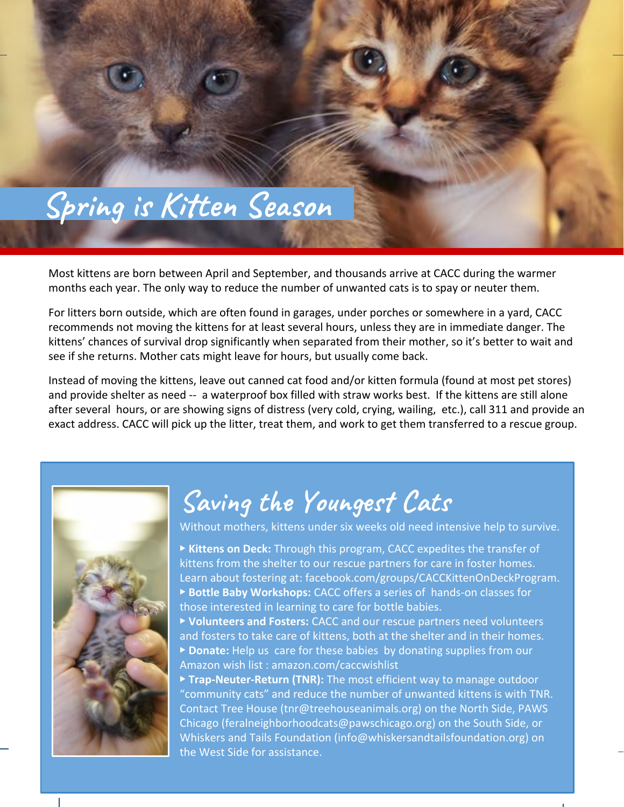

Most kittens are born between April and September, and thousands arrive at CACC during the warmer months each year. The only way to reduce the number of unwanted cats is to spay or neuter them.

For litters born outside, which are often found in garages, under porches or somewhere in a yard, CACC recommends not moving the kittens for at least several hours, unless they are in immediate danger. The kittens' chances of survival drop significantly when separated from their mother, so it's better to wait and see if she returns. Mother cats might leave for hours, but usually come back.

Instead of moving the kittens, leave out canned cat food and/or kitten formula (found at most pet stores) and provide shelter as need -- a waterproof box filled with straw works best. If the kittens are still alone after several hours, or are showing signs of distress (very cold, crying, wailing, etc.), call 311 and provide an exact address. CACC will pick up the litter, treat them, and work to get them transferred to a rescue group.



## Saving the Youngest Cats

Without mothers, kittens under six weeks old need intensive help to survive.

▶ **Kittens on Deck:** Through this program, CACC expedites the transfer of kittens from the shelter to our rescue partners for care in foster homes. Learn about fostering at: facebook.com/groups/CACCKittenOnDeckProgram. ▶ **Bottle Baby Workshops:** CACC offers a series of hands-on classes for those interested in learning to care for bottle babies.

▶ **Volunteers and Fosters:** CACC and our rescue partners need volunteers and fosters to take care of kittens, both at the shelter and in their homes. ▶ **Donate:** Help us care for these babies by donating supplies from our Amazon wish list : amazon.com/caccwishlist

▶ **Trap-Neuter-Return (TNR):** The most efficient way to manage outdoor "community cats" and reduce the number of unwanted kittens is with TNR. Contact Tree House (tnr@treehouseanimals.org) on the North Side, PAWS Chicago (feralneighborhoodcats@pawschicago.org) on the South Side, or Whiskers and Tails Foundation (info@whiskersandtailsfoundation.org) on the West Side for assistance.